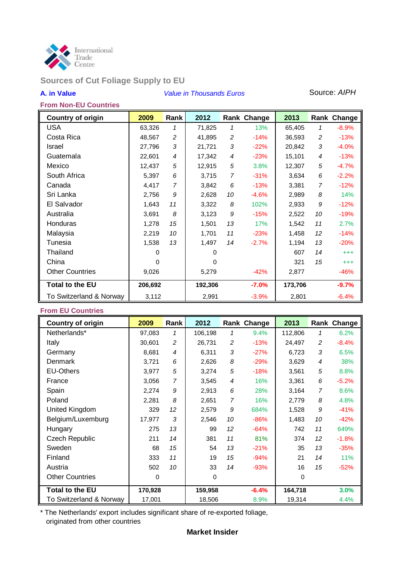

# **Sources of Cut Foliage Supply to EU**

## **A. in Value** *Value in Thousands Euros* Source: *AIPH*

#### **From Non-EU Countries**

| <b>Country of origin</b> | 2009    | Rank           | 2012    |                | Rank Change | 2013    |                | Rank Change |
|--------------------------|---------|----------------|---------|----------------|-------------|---------|----------------|-------------|
| <b>USA</b>               | 63,326  | 1              | 71,825  | 1              | 13%         | 65,405  | 1              | $-8.9%$     |
| Costa Rica               | 48,567  | $\overline{c}$ | 41,895  | $\overline{c}$ | $-14%$      | 36,593  | 2              | $-13%$      |
| Israel                   | 27,796  | 3              | 21,721  | 3              | $-22%$      | 20,842  | 3              | $-4.0%$     |
| Guatemala                | 22,601  | $\overline{4}$ | 17,342  | 4              | $-23%$      | 15,101  | 4              | $-13%$      |
| Mexico                   | 12,437  | 5              | 12,915  | 5              | 3.8%        | 12,307  | 5              | $-4.7%$     |
| South Africa             | 5,397   | 6              | 3,715   | $\overline{7}$ | $-31%$      | 3,634   | 6              | $-2.2%$     |
| Canada                   | 4,417   | 7              | 3,842   | 6              | $-13%$      | 3,381   | $\overline{7}$ | $-12%$      |
| Sri Lanka                | 2,756   | 9              | 2,628   | 10             | $-4.6%$     | 2,989   | 8              | 14%         |
| El Salvador              | 1,643   | 11             | 3,322   | 8              | 102%        | 2,933   | 9              | $-12%$      |
| Australia                | 3,691   | 8              | 3,123   | 9              | $-15%$      | 2,522   | 10             | $-19%$      |
| Honduras                 | 1,278   | 15             | 1,501   | 13             | 17%         | 1,542   | 11             | 2.7%        |
| Malaysia                 | 2,219   | 10             | 1,701   | 11             | $-23%$      | 1,458   | 12             | $-14%$      |
| Tunesia                  | 1,538   | 13             | 1,497   | 14             | $-2.7%$     | 1,194   | 13             | $-20%$      |
| Thailand                 | 0       |                | 0       |                |             | 607     | 14             | $^{+++}$    |
| China                    | 0       |                | 0       |                |             | 321     | 15             | $^{+++}$    |
| <b>Other Countries</b>   | 9,026   |                | 5,279   |                | $-42%$      | 2,877   |                | $-46%$      |
| <b>Total to the EU</b>   | 206,692 |                | 192,306 |                | $-7.0%$     | 173,706 |                | $-9.7%$     |
| To Switzerland & Norway  | 3,112   |                | 2,991   |                | $-3.9%$     | 2,801   |                | $-6.4%$     |

## **From EU Countries**

| <b>Country of origin</b> | 2009    | Rank | 2012    |    | Rank Change | 2013     | Rank           | Change  |
|--------------------------|---------|------|---------|----|-------------|----------|----------------|---------|
| Netherlands*             | 97,083  | 1    | 106,198 | 1  | 9.4%        | 112,806  | 1              | 6.2%    |
| Italy                    | 30,601  | 2    | 26,731  | 2  | $-13%$      | 24,497   | 2              | $-8.4%$ |
| Germany                  | 8,681   | 4    | 6,311   | 3  | $-27%$      | 6,723    | 3              | 6.5%    |
| Denmark                  | 3,721   | 6    | 2,626   | 8  | $-29%$      | 3,629    | 4              | 38%     |
| <b>EU-Others</b>         | 3,977   | 5    | 3,274   | 5  | $-18%$      | 3,561    | 5              | 8.8%    |
| France                   | 3,056   | 7    | 3,545   | 4  | 16%         | 3,361    | 6              | $-5.2%$ |
| Spain                    | 2,274   | 9    | 2,913   | 6  | 28%         | 3,164    | $\overline{7}$ | 8.6%    |
| Poland                   | 2,281   | 8    | 2,651   | 7  | 16%         | 2,779    | 8              | 4.8%    |
| United Kingdom           | 329     | 12   | 2,579   | 9  | 684%        | 1,528    | 9              | $-41%$  |
| Belgium/Luxemburg        | 17,977  | 3    | 2,546   | 10 | $-86%$      | 1,483    | 10             | $-42%$  |
| Hungary                  | 275     | 13   | 99      | 12 | $-64%$      | 742      | 11             | 649%    |
| <b>Czech Republic</b>    | 211     | 14   | 381     | 11 | 81%         | 374      | 12             | $-1.8%$ |
| Sweden                   | 68      | 15   | 54      | 13 | $-21%$      | 35       | 13             | $-35%$  |
| Finland                  | 333     | 11   | 19      | 15 | $-94%$      | 21       | 14             | 11%     |
| Austria                  | 502     | 10   | 33      | 14 | $-93%$      | 16       | 15             | $-52%$  |
| <b>Other Countries</b>   | 0       |      | 0       |    |             | $\Omega$ |                |         |
| <b>Total to the EU</b>   | 170,928 |      | 159,958 |    | $-6.4%$     | 164,718  |                | 3.0%    |
| To Switzerland & Norway  | 17,001  |      | 18,506  |    | 8.9%        | 19,314   |                | 4.4%    |

\* The Netherlands' export includes significant share of re-exported foliage, originated from other countries

## **Market Insider**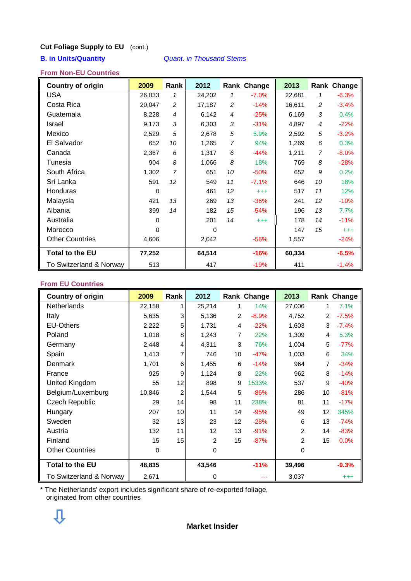## **Cut Foliage Supply to EU** (cont.)

**B. in Units/Quantity** *Quant. in Thousand Stems*

### **From Non-EU Countries**

| <b>Country of origin</b> | 2009     | Rank           | 2012     |                | Rank Change | 2013   |    | Rank Change |
|--------------------------|----------|----------------|----------|----------------|-------------|--------|----|-------------|
| <b>USA</b>               | 26,033   | 1              | 24,202   | 1              | $-7.0%$     | 22,681 | 1  | $-6.3%$     |
| Costa Rica               | 20,047   | 2              | 17,187   | $\overline{c}$ | $-14%$      | 16,611 | 2  | $-3.4%$     |
| Guatemala                | 8,228    | $\overline{4}$ | 6,142    | 4              | $-25%$      | 6,169  | 3  | 0.4%        |
| Israel                   | 9,173    | 3              | 6,303    | 3              | $-31%$      | 4,897  | 4  | $-22%$      |
| Mexico                   | 2,529    | 5              | 2,678    | 5              | 5.9%        | 2,592  | 5  | $-3.2%$     |
| El Salvador              | 652      | 10             | 1,265    | 7              | 94%         | 1,269  | 6  | 0.3%        |
| Canada                   | 2,367    | 6              | 1,317    | 6              | $-44%$      | 1,211  | 7  | $-8.0%$     |
| Tunesia                  | 904      | 8              | 1,066    | 8              | 18%         | 769    | 8  | $-28%$      |
| South Africa             | 1,302    | $\overline{7}$ | 651      | 10             | $-50%$      | 652    | 9  | 0.2%        |
| Sri Lanka                | 591      | 12             | 549      | 11             | $-7.1%$     | 646    | 10 | 18%         |
| Honduras                 | $\Omega$ |                | 461      | 12             | $^{+++}$    | 517    | 11 | 12%         |
| Malaysia                 | 421      | 13             | 269      | 13             | $-36%$      | 241    | 12 | $-10%$      |
| Albania                  | 399      | 14             | 182      | 15             | $-54%$      | 196    | 13 | 7.7%        |
| Australia                | $\Omega$ |                | 201      | 14             | $^{+++}$    | 178    | 14 | $-11%$      |
| Morocco                  | $\Omega$ |                | $\Omega$ |                |             | 147    | 15 | $^{+++}$    |
| <b>Other Countries</b>   | 4,606    |                | 2,042    |                | $-56%$      | 1,557  |    | $-24%$      |
| <b>Total to the EU</b>   | 77,252   |                | 64,514   |                | $-16%$      | 60,334 |    | $-6.5%$     |
| To Switzerland & Norway  | 513      |                | 417      |                | $-19%$      | 411    |    | $-1.4%$     |

### **From EU Countries**

| <b>Country of origin</b> | 2009   | Rank | 2012   |    | Rank Change | 2013           |                   | Rank Change |
|--------------------------|--------|------|--------|----|-------------|----------------|-------------------|-------------|
| Netherlands              | 22,158 | 1    | 25,214 | 1  | 14%         | 27,006         | 1                 | 7.1%        |
| Italy                    | 5,635  | 3    | 5,136  | 2  | $-8.9%$     | 4,752          | 2                 | $-7.5%$     |
| <b>EU-Others</b>         | 2,222  | 5    | 1,731  | 4  | $-22%$      | 1,603          | 3                 | $-7.4%$     |
| Poland                   | 1,018  | 8    | 1,243  | 7  | 22%         | 1,309          | 4                 | 5.3%        |
| Germany                  | 2,448  | 4    | 4,311  | 3  | 76%         | 1,004          | 5                 | $-77%$      |
| Spain                    | 1,413  | 7    | 746    | 10 | $-47%$      | 1,003          | 6                 | 34%         |
| Denmark                  | 1,701  | 6    | 1,455  | 6  | $-14%$      | 964            | 7                 | $-34%$      |
| France                   | 925    | 9    | 1,124  | 8  | 22%         | 962            | 8                 | $-14%$      |
| United Kingdom           | 55     | 12   | 898    | 9  | 1533%       | 537            | 9                 | $-40%$      |
| Belgium/Luxemburg        | 10,846 | 2    | 1,544  | 5  | $-86%$      | 286            | 10                | $-81%$      |
| <b>Czech Republic</b>    | 29     | 14   | 98     | 11 | 238%        | 81             | 11                | $-17%$      |
| Hungary                  | 207    | 10   | 11     | 14 | $-95%$      | 49             | $12 \overline{ }$ | 345%        |
| Sweden                   | 32     | 13   | 23     | 12 | $-28%$      | 6              | 13                | $-74%$      |
| Austria                  | 132    | 11   | 12     | 13 | $-91%$      | $\overline{2}$ | 14                | $-83%$      |
| Finland                  | 15     | 15   | 2      | 15 | $-87%$      | $\overline{2}$ | 15                | 0.0%        |
| <b>Other Countries</b>   | 0      |      | 0      |    |             | 0              |                   |             |
| <b>Total to the EU</b>   | 48,835 |      | 43,546 |    | $-11%$      | 39,496         |                   | $-9.3%$     |
| To Switzerland & Norway  | 2,671  |      | 0      |    |             | 3,037          |                   | $^{+++}$    |

\* The Netherlands' export includes significant share of re-exported foliage, originated from other countries